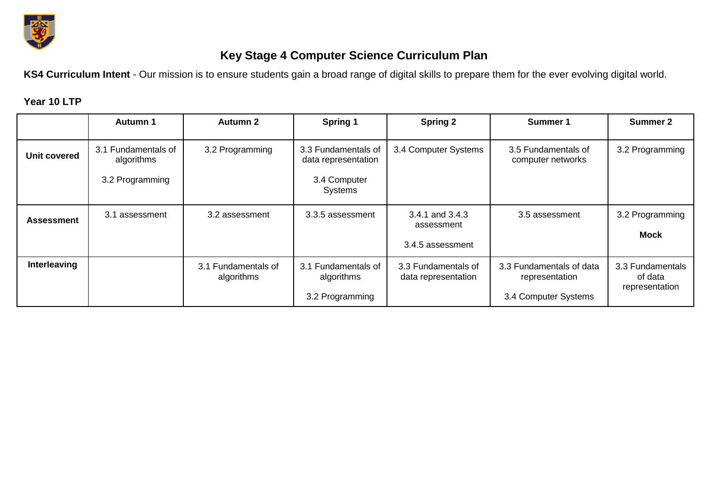

## **Key Stage 4 Computer Science Curriculum Plan**

**KS4 Curriculum Intent** - Our mission is to ensure students gain a broad range of digital skills to prepare them for the ever evolving digital world.

## **Year 10 LTP**

|                   | Autumn 1                          | <b>Autumn 2</b>                   | Spring 1                                             | <b>Spring 2</b>                                   | Summer 1                                                           | <b>Summer 2</b>                               |
|-------------------|-----------------------------------|-----------------------------------|------------------------------------------------------|---------------------------------------------------|--------------------------------------------------------------------|-----------------------------------------------|
| Unit covered      | 3.1 Fundamentals of<br>algorithms | 3.2 Programming                   | 3.3 Fundamentals of<br>data representation           | 3.4 Computer Systems                              | 3.5 Fundamentals of<br>computer networks                           | 3.2 Programming                               |
|                   | 3.2 Programming                   |                                   | 3.4 Computer<br>Systems                              |                                                   |                                                                    |                                               |
| <b>Assessment</b> | 3.1 assessment                    | 3.2 assessment                    | 3.3.5 assessment                                     | 3.4.1 and 3.4.3<br>assessment<br>3.4.5 assessment | 3.5 assessment                                                     | 3.2 Programming<br><b>Mock</b>                |
| Interleaving      |                                   | 3.1 Fundamentals of<br>algorithms | 3.1 Fundamentals of<br>algorithms<br>3.2 Programming | 3.3 Fundamentals of<br>data representation        | 3.3 Fundamentals of data<br>representation<br>3.4 Computer Systems | 3.3 Fundamentals<br>of data<br>representation |